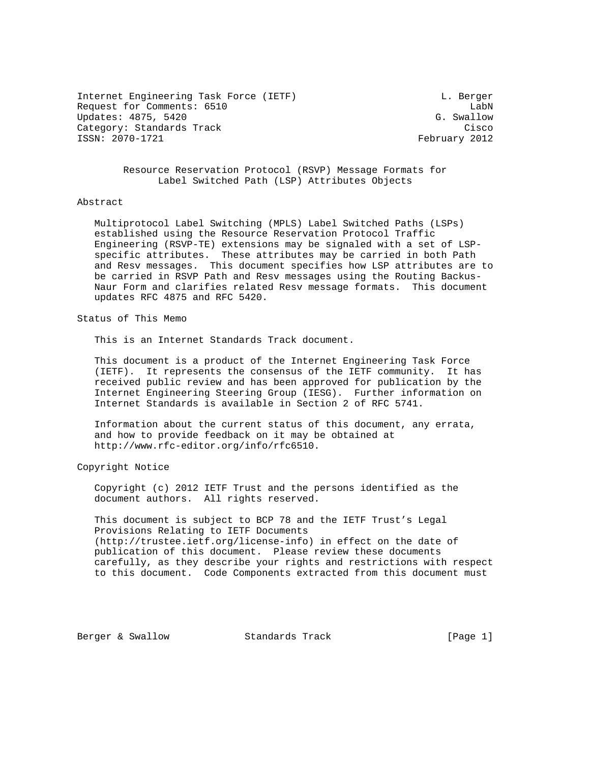Internet Engineering Task Force (IETF) and the contract of the Berger contract of the Euler Contract of the Berger Request for Comments: 6510 **LabN** Updates: 4875, 5420 G. Swallow Category: Standards Track Cisco Cisco Cisco Cisco Cisco Cisco Cisco Cisco Cisco Cisco Cisco Cisco Cisco Cisco ISSN: 2070-1721 February 2012

 Resource Reservation Protocol (RSVP) Message Formats for Label Switched Path (LSP) Attributes Objects

#### Abstract

 Multiprotocol Label Switching (MPLS) Label Switched Paths (LSPs) established using the Resource Reservation Protocol Traffic Engineering (RSVP-TE) extensions may be signaled with a set of LSP specific attributes. These attributes may be carried in both Path and Resv messages. This document specifies how LSP attributes are to be carried in RSVP Path and Resv messages using the Routing Backus- Naur Form and clarifies related Resv message formats. This document updates RFC 4875 and RFC 5420.

Status of This Memo

This is an Internet Standards Track document.

 This document is a product of the Internet Engineering Task Force (IETF). It represents the consensus of the IETF community. It has received public review and has been approved for publication by the Internet Engineering Steering Group (IESG). Further information on Internet Standards is available in Section 2 of RFC 5741.

 Information about the current status of this document, any errata, and how to provide feedback on it may be obtained at http://www.rfc-editor.org/info/rfc6510.

Copyright Notice

 Copyright (c) 2012 IETF Trust and the persons identified as the document authors. All rights reserved.

 This document is subject to BCP 78 and the IETF Trust's Legal Provisions Relating to IETF Documents (http://trustee.ietf.org/license-info) in effect on the date of publication of this document. Please review these documents carefully, as they describe your rights and restrictions with respect to this document. Code Components extracted from this document must

Berger & Swallow **Standards Track** [Page 1]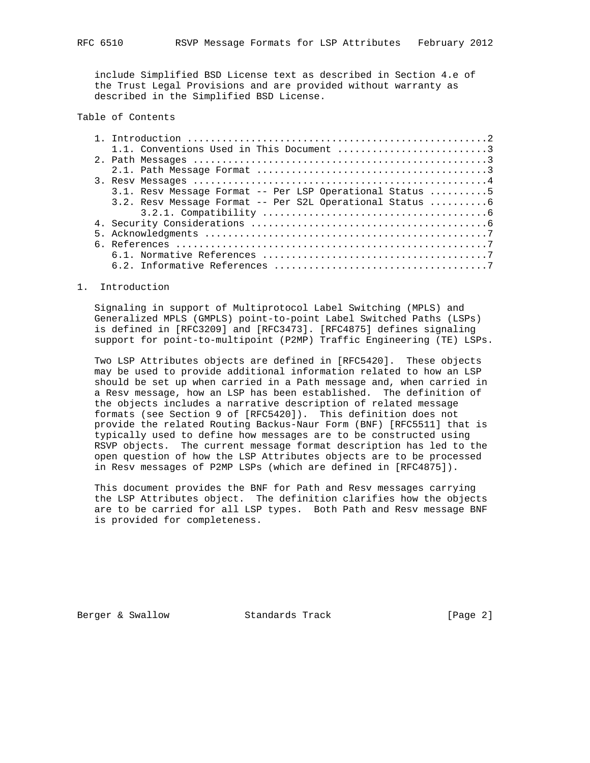include Simplified BSD License text as described in Section 4.e of the Trust Legal Provisions and are provided without warranty as described in the Simplified BSD License.

# Table of Contents

|  | 1.1. Conventions Used in This Document 3                 |  |
|--|----------------------------------------------------------|--|
|  |                                                          |  |
|  |                                                          |  |
|  |                                                          |  |
|  | 3.1. Resv Message Format -- Per LSP Operational Status 5 |  |
|  | 3.2. Resv Message Format -- Per S2L Operational Status 6 |  |
|  |                                                          |  |
|  |                                                          |  |
|  |                                                          |  |
|  |                                                          |  |
|  |                                                          |  |
|  |                                                          |  |
|  |                                                          |  |

## 1. Introduction

 Signaling in support of Multiprotocol Label Switching (MPLS) and Generalized MPLS (GMPLS) point-to-point Label Switched Paths (LSPs) is defined in [RFC3209] and [RFC3473]. [RFC4875] defines signaling support for point-to-multipoint (P2MP) Traffic Engineering (TE) LSPs.

 Two LSP Attributes objects are defined in [RFC5420]. These objects may be used to provide additional information related to how an LSP should be set up when carried in a Path message and, when carried in a Resv message, how an LSP has been established. The definition of the objects includes a narrative description of related message formats (see Section 9 of [RFC5420]). This definition does not provide the related Routing Backus-Naur Form (BNF) [RFC5511] that is typically used to define how messages are to be constructed using RSVP objects. The current message format description has led to the open question of how the LSP Attributes objects are to be processed in Resv messages of P2MP LSPs (which are defined in [RFC4875]).

 This document provides the BNF for Path and Resv messages carrying the LSP Attributes object. The definition clarifies how the objects are to be carried for all LSP types. Both Path and Resv message BNF is provided for completeness.

Berger & Swallow **Standards Track** [Page 2]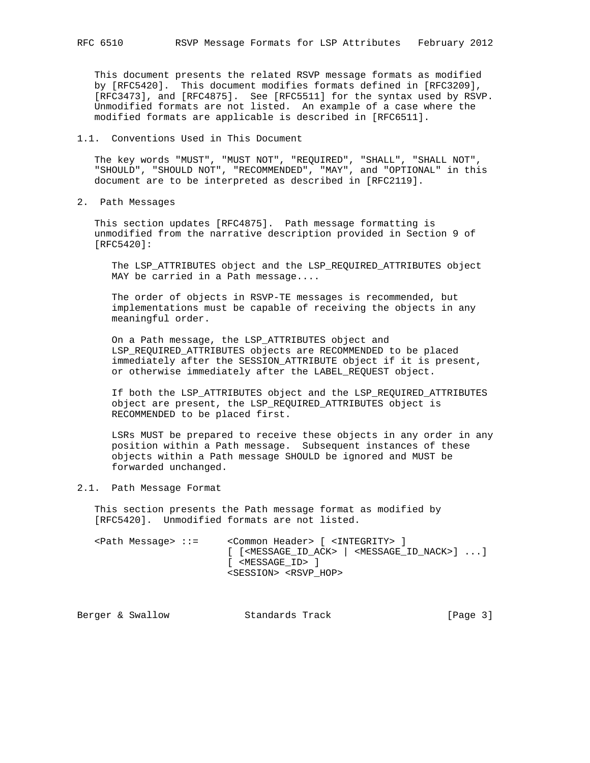This document presents the related RSVP message formats as modified by [RFC5420]. This document modifies formats defined in [RFC3209], [RFC3473], and [RFC4875]. See [RFC5511] for the syntax used by RSVP. Unmodified formats are not listed. An example of a case where the modified formats are applicable is described in [RFC6511].

### 1.1. Conventions Used in This Document

 The key words "MUST", "MUST NOT", "REQUIRED", "SHALL", "SHALL NOT", "SHOULD", "SHOULD NOT", "RECOMMENDED", "MAY", and "OPTIONAL" in this document are to be interpreted as described in [RFC2119].

2. Path Messages

 This section updates [RFC4875]. Path message formatting is unmodified from the narrative description provided in Section 9 of [RFC5420]:

 The LSP\_ATTRIBUTES object and the LSP\_REQUIRED\_ATTRIBUTES object MAY be carried in a Path message....

 The order of objects in RSVP-TE messages is recommended, but implementations must be capable of receiving the objects in any meaningful order.

 On a Path message, the LSP\_ATTRIBUTES object and LSP\_REQUIRED\_ATTRIBUTES objects are RECOMMENDED to be placed immediately after the SESSION\_ATTRIBUTE object if it is present, or otherwise immediately after the LABEL\_REQUEST object.

 If both the LSP\_ATTRIBUTES object and the LSP\_REQUIRED\_ATTRIBUTES object are present, the LSP\_REQUIRED\_ATTRIBUTES object is RECOMMENDED to be placed first.

 LSRs MUST be prepared to receive these objects in any order in any position within a Path message. Subsequent instances of these objects within a Path message SHOULD be ignored and MUST be forwarded unchanged.

### 2.1. Path Message Format

 This section presents the Path message format as modified by [RFC5420]. Unmodified formats are not listed.

| $\epsilon$ Path Message> ::= | <common header=""> [ <integrity> ]</integrity></common>                                                     |
|------------------------------|-------------------------------------------------------------------------------------------------------------|
|                              | $[$ $[$ <message_id_ack> <math> </math> <message_id_nack><math>]</math> </message_id_nack></message_id_ack> |
|                              | [ <message id=""> ]</message>                                                                               |
|                              | <session> <rsvp hop=""></rsvp></session>                                                                    |

| Standards Track<br>Berger & Swallow | [Page 3] |
|-------------------------------------|----------|
|-------------------------------------|----------|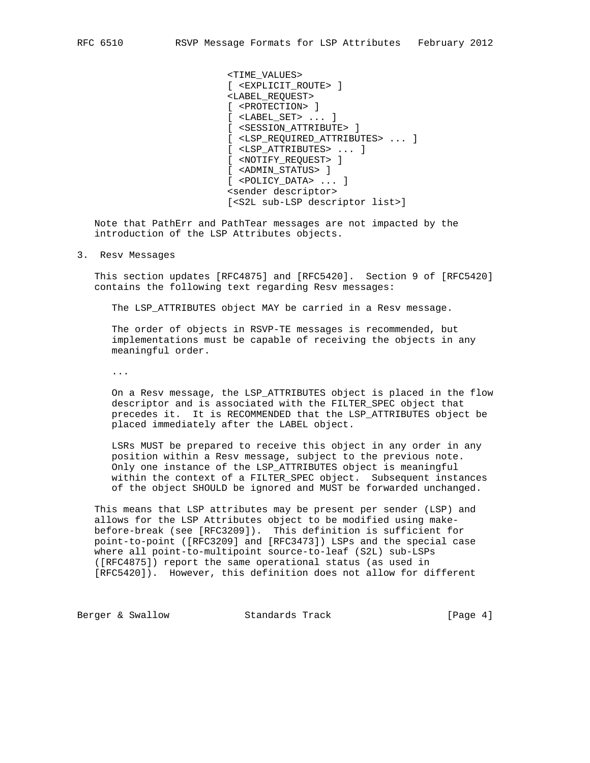<TIME\_VALUES> [ <EXPLICIT\_ROUTE> ] <LABEL\_REQUEST> [ <PROTECTION> ] [ <LABEL\_SET> ... ] [ <SESSION\_ATTRIBUTE> ] [ <LSP\_REQUIRED\_ATTRIBUTES> ... ] [ <LSP\_ATTRIBUTES> ... ] [ <NOTIFY\_REQUEST> ] [ <ADMIN\_STATUS> ] [ <POLICY\_DATA> ... ] <sender descriptor> [<S2L sub-LSP descriptor list>]

 Note that PathErr and PathTear messages are not impacted by the introduction of the LSP Attributes objects.

#### 3. Resv Messages

 This section updates [RFC4875] and [RFC5420]. Section 9 of [RFC5420] contains the following text regarding Resv messages:

The LSP\_ATTRIBUTES object MAY be carried in a Resv message.

 The order of objects in RSVP-TE messages is recommended, but implementations must be capable of receiving the objects in any meaningful order.

...

 On a Resv message, the LSP\_ATTRIBUTES object is placed in the flow descriptor and is associated with the FILTER\_SPEC object that precedes it. It is RECOMMENDED that the LSP\_ATTRIBUTES object be placed immediately after the LABEL object.

 LSRs MUST be prepared to receive this object in any order in any position within a Resv message, subject to the previous note. Only one instance of the LSP\_ATTRIBUTES object is meaningful within the context of a FILTER\_SPEC object. Subsequent instances of the object SHOULD be ignored and MUST be forwarded unchanged.

 This means that LSP attributes may be present per sender (LSP) and allows for the LSP Attributes object to be modified using make before-break (see [RFC3209]). This definition is sufficient for point-to-point ([RFC3209] and [RFC3473]) LSPs and the special case where all point-to-multipoint source-to-leaf (S2L) sub-LSPs ([RFC4875]) report the same operational status (as used in [RFC5420]). However, this definition does not allow for different

Berger & Swallow **Standards Track** [Page 4]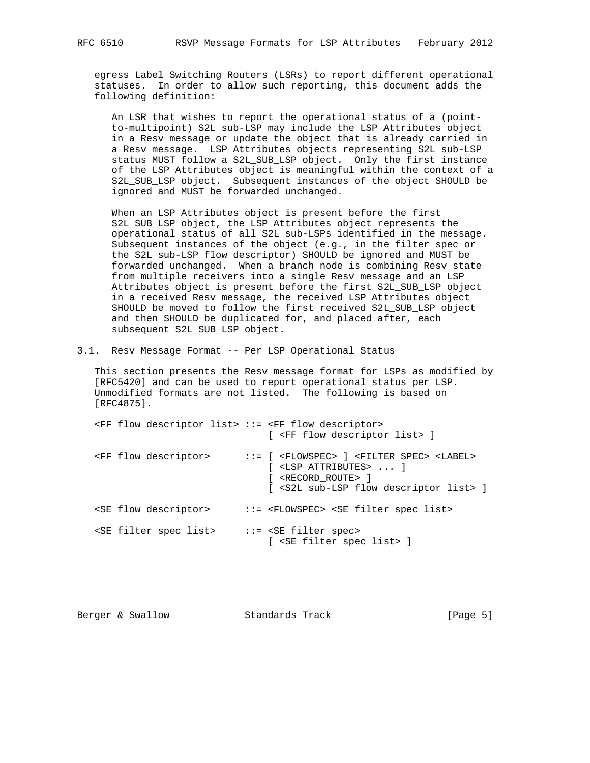egress Label Switching Routers (LSRs) to report different operational statuses. In order to allow such reporting, this document adds the following definition:

 An LSR that wishes to report the operational status of a (point to-multipoint) S2L sub-LSP may include the LSP Attributes object in a Resv message or update the object that is already carried in a Resv message. LSP Attributes objects representing S2L sub-LSP status MUST follow a S2L\_SUB\_LSP object. Only the first instance of the LSP Attributes object is meaningful within the context of a S2L\_SUB\_LSP object. Subsequent instances of the object SHOULD be ignored and MUST be forwarded unchanged.

 When an LSP Attributes object is present before the first S2L\_SUB\_LSP object, the LSP Attributes object represents the operational status of all S2L sub-LSPs identified in the message. Subsequent instances of the object (e.g., in the filter spec or the S2L sub-LSP flow descriptor) SHOULD be ignored and MUST be forwarded unchanged. When a branch node is combining Resv state from multiple receivers into a single Resv message and an LSP Attributes object is present before the first S2L\_SUB\_LSP object in a received Resv message, the received LSP Attributes object SHOULD be moved to follow the first received S2L\_SUB\_LSP object and then SHOULD be duplicated for, and placed after, each subsequent S2L\_SUB\_LSP object.

3.1. Resv Message Format -- Per LSP Operational Status

 This section presents the Resv message format for LSPs as modified by [RFC5420] and can be used to report operational status per LSP. Unmodified formats are not listed. The following is based on [RFC4875].

| <ff descriptor="" flow="" list=""> ::= <ff descriptor="" flow=""></ff></ff> | [ <ff descriptor="" flow="" list=""> ]</ff>                                                                                                                                                                                              |
|-----------------------------------------------------------------------------|------------------------------------------------------------------------------------------------------------------------------------------------------------------------------------------------------------------------------------------|
| <ff descriptor="" flow=""></ff>                                             | $::=$ [ <flowspec> ] <filter spec=""> <label><br/><math>[</math> <lsp attributes=""> <math>]</math><br/>[ <record_route> ]<br/>[ <s2l descriptor="" flow="" list="" sub-lsp=""> ]</s2l></record_route></lsp></label></filter></flowspec> |
| <se descriptor="" flow=""></se>                                             | ::= <flowspec> <se filter="" list="" spec=""></se></flowspec>                                                                                                                                                                            |
| <se filter="" list="" spec=""></se>                                         | $::=$ <se filter="" spec=""><br/>[ <se filter="" list="" spec=""> ]</se></se>                                                                                                                                                            |

| [Page 5]<br>Standards Track<br>Berger & Swallow |  |  |  |
|-------------------------------------------------|--|--|--|
|-------------------------------------------------|--|--|--|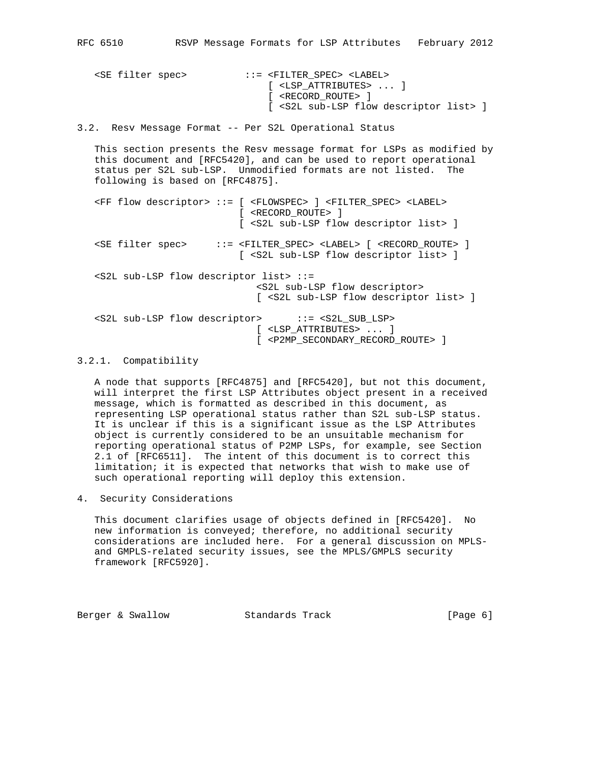<SE filter spec> ::= <FILTER\_SPEC> <LABEL> [ <LSP\_ATTRIBUTES> ... ] [ <RECORD\_ROUTE> ] [ <S2L sub-LSP flow descriptor list> ] 3.2. Resv Message Format -- Per S2L Operational Status This section presents the Resv message format for LSPs as modified by this document and [RFC5420], and can be used to report operational status per S2L sub-LSP. Unmodified formats are not listed. The following is based on [RFC4875]. <FF flow descriptor> ::= [ <FLOWSPEC> ] <FILTER\_SPEC> <LABEL> [ <RECORD\_ROUTE> ] [ <S2L sub-LSP flow descriptor list> ] <SE filter spec> ::= <FILTER\_SPEC> <LABEL> [ <RECORD\_ROUTE> ] [ <S2L sub-LSP flow descriptor list> ] <S2L sub-LSP flow descriptor list> ::= <S2L sub-LSP flow descriptor> [ <S2L sub-LSP flow descriptor list> ] <S2L sub-LSP flow descriptor> ::= <S2L\_SUB\_LSP> [ <LSP\_ATTRIBUTES> ... ] [ <P2MP\_SECONDARY\_RECORD\_ROUTE> ]

## 3.2.1. Compatibility

 A node that supports [RFC4875] and [RFC5420], but not this document, will interpret the first LSP Attributes object present in a received message, which is formatted as described in this document, as representing LSP operational status rather than S2L sub-LSP status. It is unclear if this is a significant issue as the LSP Attributes object is currently considered to be an unsuitable mechanism for reporting operational status of P2MP LSPs, for example, see Section 2.1 of [RFC6511]. The intent of this document is to correct this limitation; it is expected that networks that wish to make use of such operational reporting will deploy this extension.

4. Security Considerations

 This document clarifies usage of objects defined in [RFC5420]. No new information is conveyed; therefore, no additional security considerations are included here. For a general discussion on MPLS and GMPLS-related security issues, see the MPLS/GMPLS security framework [RFC5920].

Berger & Swallow **Standards Track** [Page 6]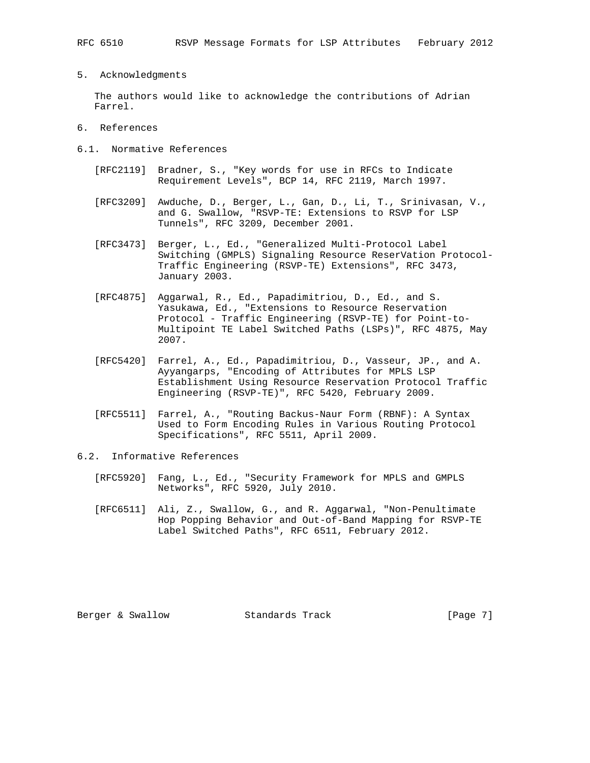5. Acknowledgments

 The authors would like to acknowledge the contributions of Adrian Farrel.

- 6. References
- 6.1. Normative References
	- [RFC2119] Bradner, S., "Key words for use in RFCs to Indicate Requirement Levels", BCP 14, RFC 2119, March 1997.
	- [RFC3209] Awduche, D., Berger, L., Gan, D., Li, T., Srinivasan, V., and G. Swallow, "RSVP-TE: Extensions to RSVP for LSP Tunnels", RFC 3209, December 2001.
	- [RFC3473] Berger, L., Ed., "Generalized Multi-Protocol Label Switching (GMPLS) Signaling Resource ReserVation Protocol- Traffic Engineering (RSVP-TE) Extensions", RFC 3473, January 2003.
	- [RFC4875] Aggarwal, R., Ed., Papadimitriou, D., Ed., and S. Yasukawa, Ed., "Extensions to Resource Reservation Protocol - Traffic Engineering (RSVP-TE) for Point-to- Multipoint TE Label Switched Paths (LSPs)", RFC 4875, May 2007.
	- [RFC5420] Farrel, A., Ed., Papadimitriou, D., Vasseur, JP., and A. Ayyangarps, "Encoding of Attributes for MPLS LSP Establishment Using Resource Reservation Protocol Traffic Engineering (RSVP-TE)", RFC 5420, February 2009.
	- [RFC5511] Farrel, A., "Routing Backus-Naur Form (RBNF): A Syntax Used to Form Encoding Rules in Various Routing Protocol Specifications", RFC 5511, April 2009.
- 6.2. Informative References
	- [RFC5920] Fang, L., Ed., "Security Framework for MPLS and GMPLS Networks", RFC 5920, July 2010.
	- [RFC6511] Ali, Z., Swallow, G., and R. Aggarwal, "Non-Penultimate Hop Popping Behavior and Out-of-Band Mapping for RSVP-TE Label Switched Paths", RFC 6511, February 2012.

Berger & Swallow **Standards Track** [Page 7]